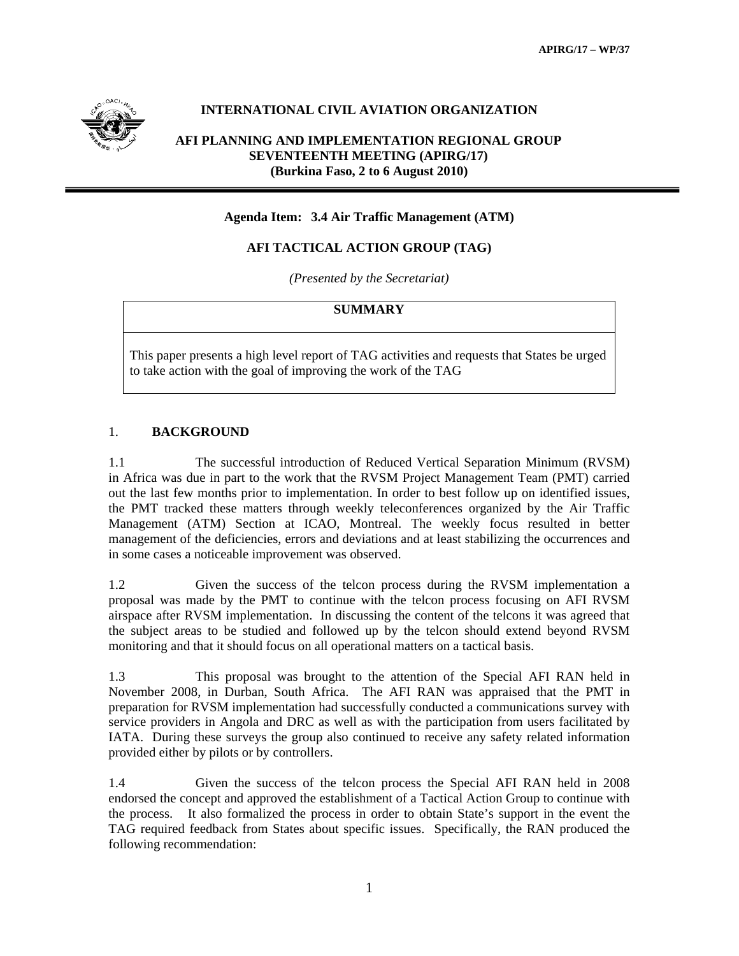

## **INTERNATIONAL CIVIL AVIATION ORGANIZATION**

## **AFI PLANNING AND IMPLEMENTATION REGIONAL GROUP SEVENTEENTH MEETING (APIRG/17) (Burkina Faso, 2 to 6 August 2010)**

#### **Agenda Item: 3.4 Air Traffic Management (ATM)**

## **AFI TACTICAL ACTION GROUP (TAG)**

*(Presented by the Secretariat)* 

#### **SUMMARY**

This paper presents a high level report of TAG activities and requests that States be urged to take action with the goal of improving the work of the TAG

#### 1. **BACKGROUND**

1.1 The successful introduction of Reduced Vertical Separation Minimum (RVSM) in Africa was due in part to the work that the RVSM Project Management Team (PMT) carried out the last few months prior to implementation. In order to best follow up on identified issues, the PMT tracked these matters through weekly teleconferences organized by the Air Traffic Management (ATM) Section at ICAO, Montreal. The weekly focus resulted in better management of the deficiencies, errors and deviations and at least stabilizing the occurrences and in some cases a noticeable improvement was observed.

1.2 Given the success of the telcon process during the RVSM implementation a proposal was made by the PMT to continue with the telcon process focusing on AFI RVSM airspace after RVSM implementation. In discussing the content of the telcons it was agreed that the subject areas to be studied and followed up by the telcon should extend beyond RVSM monitoring and that it should focus on all operational matters on a tactical basis.

1.3 This proposal was brought to the attention of the Special AFI RAN held in November 2008, in Durban, South Africa. The AFI RAN was appraised that the PMT in preparation for RVSM implementation had successfully conducted a communications survey with service providers in Angola and DRC as well as with the participation from users facilitated by IATA. During these surveys the group also continued to receive any safety related information provided either by pilots or by controllers.

1.4 Given the success of the telcon process the Special AFI RAN held in 2008 endorsed the concept and approved the establishment of a Tactical Action Group to continue with the process. It also formalized the process in order to obtain State's support in the event the TAG required feedback from States about specific issues. Specifically, the RAN produced the following recommendation: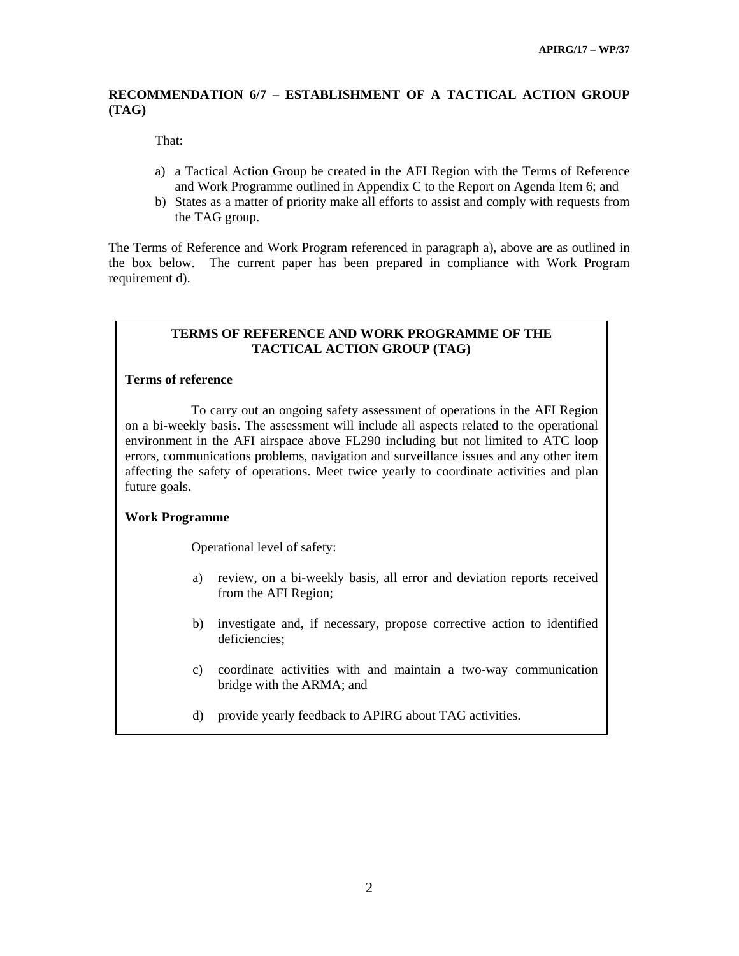## **RECOMMENDATION 6/7 – ESTABLISHMENT OF A TACTICAL ACTION GROUP (TAG)**

That:

- a) a Tactical Action Group be created in the AFI Region with the Terms of Reference and Work Programme outlined in Appendix C to the Report on Agenda Item 6; and
- b) States as a matter of priority make all efforts to assist and comply with requests from the TAG group.

The Terms of Reference and Work Program referenced in paragraph a), above are as outlined in the box below. The current paper has been prepared in compliance with Work Program requirement d).

### **TERMS OF REFERENCE AND WORK PROGRAMME OF THE TACTICAL ACTION GROUP (TAG)**

## **Terms of reference**

 To carry out an ongoing safety assessment of operations in the AFI Region on a bi-weekly basis. The assessment will include all aspects related to the operational environment in the AFI airspace above FL290 including but not limited to ATC loop errors, communications problems, navigation and surveillance issues and any other item affecting the safety of operations. Meet twice yearly to coordinate activities and plan future goals.

## **Work Programme**

Operational level of safety:

- a) review, on a bi-weekly basis, all error and deviation reports received from the AFI Region;
- b) investigate and, if necessary, propose corrective action to identified deficiencies;
- c) coordinate activities with and maintain a two-way communication bridge with the ARMA; and
- d) provide yearly feedback to APIRG about TAG activities.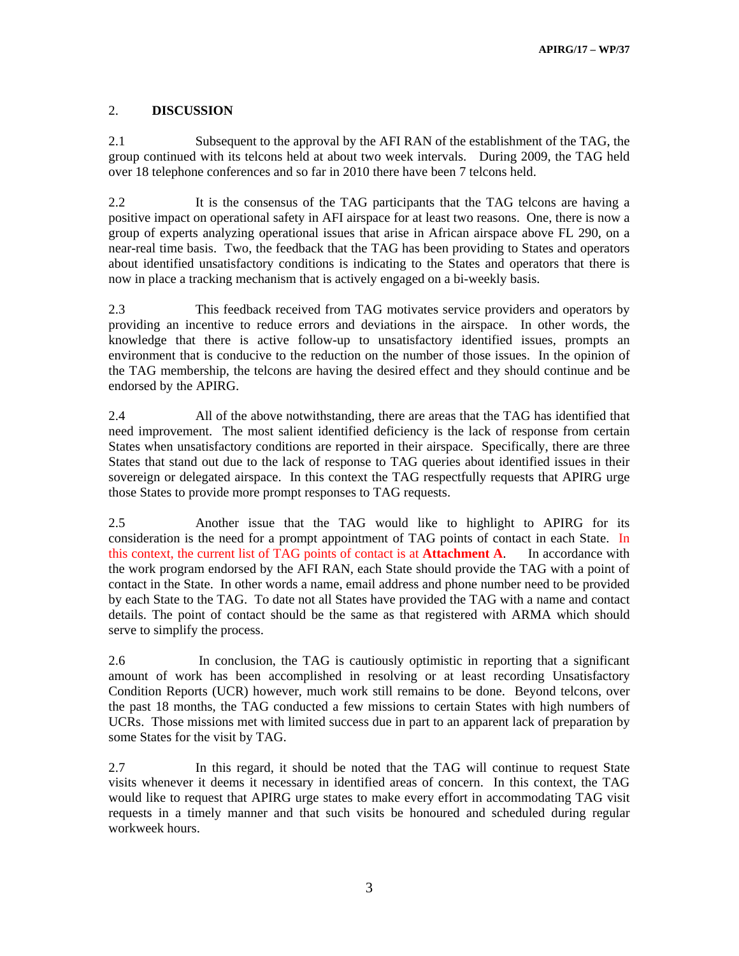# 2. **DISCUSSION**

2.1 Subsequent to the approval by the AFI RAN of the establishment of the TAG, the group continued with its telcons held at about two week intervals. During 2009, the TAG held over 18 telephone conferences and so far in 2010 there have been 7 telcons held.

2.2 It is the consensus of the TAG participants that the TAG telcons are having a positive impact on operational safety in AFI airspace for at least two reasons. One, there is now a group of experts analyzing operational issues that arise in African airspace above FL 290, on a near-real time basis. Two, the feedback that the TAG has been providing to States and operators about identified unsatisfactory conditions is indicating to the States and operators that there is now in place a tracking mechanism that is actively engaged on a bi-weekly basis.

2.3 This feedback received from TAG motivates service providers and operators by providing an incentive to reduce errors and deviations in the airspace. In other words, the knowledge that there is active follow-up to unsatisfactory identified issues, prompts an environment that is conducive to the reduction on the number of those issues. In the opinion of the TAG membership, the telcons are having the desired effect and they should continue and be endorsed by the APIRG.

2.4 All of the above notwithstanding, there are areas that the TAG has identified that need improvement. The most salient identified deficiency is the lack of response from certain States when unsatisfactory conditions are reported in their airspace. Specifically, there are three States that stand out due to the lack of response to TAG queries about identified issues in their sovereign or delegated airspace. In this context the TAG respectfully requests that APIRG urge those States to provide more prompt responses to TAG requests.

2.5 Another issue that the TAG would like to highlight to APIRG for its consideration is the need for a prompt appointment of TAG points of contact in each State. In this context, the current list of TAG points of contact is at **Attachment A**. In accordance with the work program endorsed by the AFI RAN, each State should provide the TAG with a point of contact in the State. In other words a name, email address and phone number need to be provided by each State to the TAG. To date not all States have provided the TAG with a name and contact details. The point of contact should be the same as that registered with ARMA which should serve to simplify the process.

2.6 In conclusion, the TAG is cautiously optimistic in reporting that a significant amount of work has been accomplished in resolving or at least recording Unsatisfactory Condition Reports (UCR) however, much work still remains to be done. Beyond telcons, over the past 18 months, the TAG conducted a few missions to certain States with high numbers of UCRs. Those missions met with limited success due in part to an apparent lack of preparation by some States for the visit by TAG.

2.7 In this regard, it should be noted that the TAG will continue to request State visits whenever it deems it necessary in identified areas of concern. In this context, the TAG would like to request that APIRG urge states to make every effort in accommodating TAG visit requests in a timely manner and that such visits be honoured and scheduled during regular workweek hours.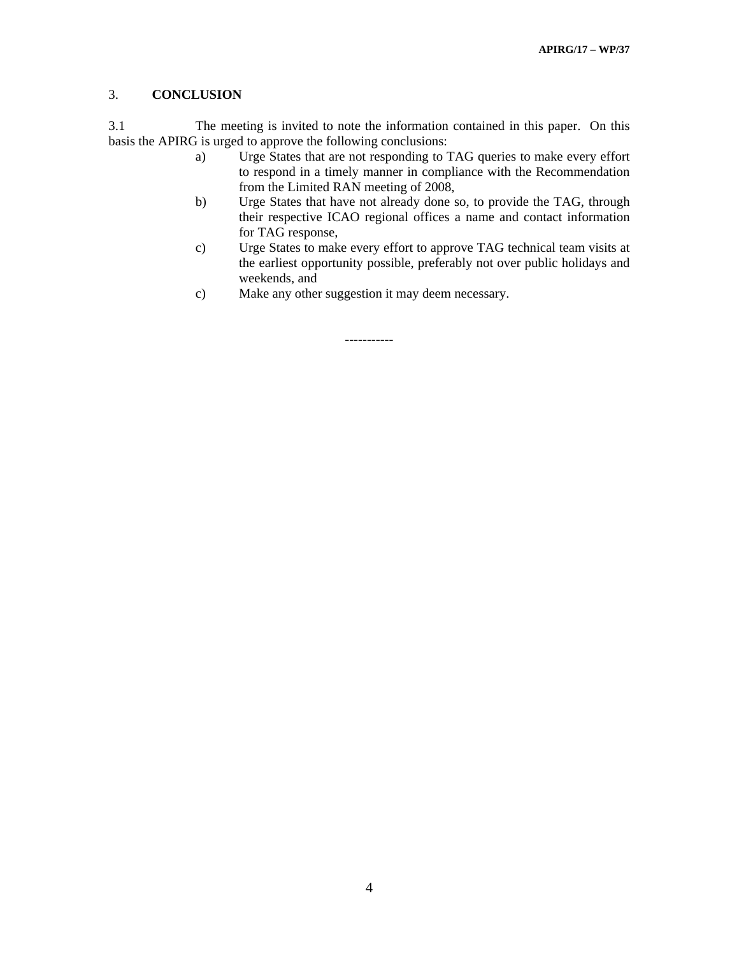## 3. **CONCLUSION**

3.1 The meeting is invited to note the information contained in this paper. On this basis the APIRG is urged to approve the following conclusions:

- a) Urge States that are not responding to TAG queries to make every effort to respond in a timely manner in compliance with the Recommendation from the Limited RAN meeting of 2008,
- b) Urge States that have not already done so, to provide the TAG, through their respective ICAO regional offices a name and contact information for TAG response,
- c) Urge States to make every effort to approve TAG technical team visits at the earliest opportunity possible, preferably not over public holidays and weekends, and
- c) Make any other suggestion it may deem necessary.

-----------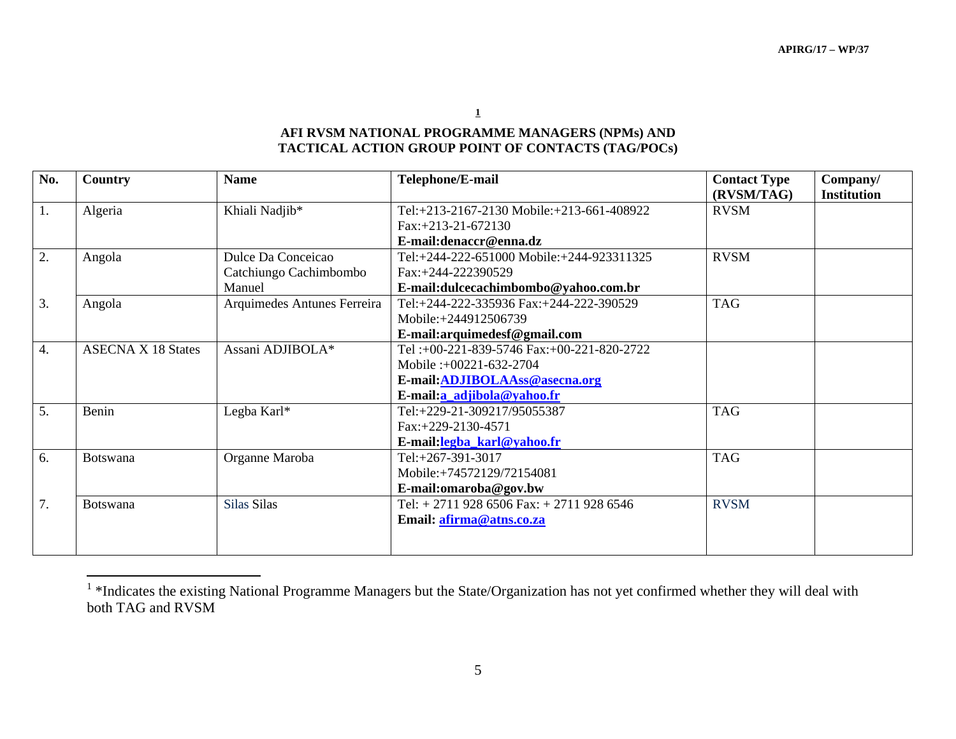**1**

# **AFI RVSM NATIONAL PROGRAMME MANAGERS (NPMs) AND TACTICAL ACTION GROUP POINT OF CONTACTS (TAG/POCs)**

| No. | Country                   | <b>Name</b>                 | Telephone/E-mail                          | <b>Contact Type</b><br>(RVSM/TAG) | Company/<br><b>Institution</b> |
|-----|---------------------------|-----------------------------|-------------------------------------------|-----------------------------------|--------------------------------|
| 1.  | Algeria                   | Khiali Nadjib*              | Tel:+213-2167-2130 Mobile:+213-661-408922 | <b>RVSM</b>                       |                                |
|     |                           |                             | $Fax: +213-21-672130$                     |                                   |                                |
|     |                           |                             | E-mail:denaccr@enna.dz                    |                                   |                                |
| 2.  | Angola                    | Dulce Da Conceicao          | Tel:+244-222-651000 Mobile:+244-923311325 | <b>RVSM</b>                       |                                |
|     |                           | Catchiungo Cachimbombo      | Fax:+244-222390529                        |                                   |                                |
|     |                           | Manuel                      | E-mail:dulcecachimbombo@yahoo.com.br      |                                   |                                |
| 3.  | Angola                    | Arquimedes Antunes Ferreira | Tel:+244-222-335936 Fax:+244-222-390529   | <b>TAG</b>                        |                                |
|     |                           |                             | Mobile:+244912506739                      |                                   |                                |
|     |                           |                             | E-mail:arquimedesf@gmail.com              |                                   |                                |
| 4.  | <b>ASECNA X 18 States</b> | Assani ADJIBOLA*            | Tel:+00-221-839-5746 Fax:+00-221-820-2722 |                                   |                                |
|     |                           |                             | Mobile :+00221-632-2704                   |                                   |                                |
|     |                           |                             | E-mail: ADJIBOLAAss@asecna.org            |                                   |                                |
|     |                           |                             | E-mail:a adjibola@yahoo.fr                |                                   |                                |
| 5.  | Benin                     | Legba Karl*                 | Tel:+229-21-309217/95055387               | <b>TAG</b>                        |                                |
|     |                           |                             | Fax:+229-2130-4571                        |                                   |                                |
|     |                           |                             | E-mail:legba_karl@yahoo.fr                |                                   |                                |
| 6.  | Botswana                  | Organne Maroba              | Tel:+267-391-3017                         | <b>TAG</b>                        |                                |
|     |                           |                             | Mobile:+74572129/72154081                 |                                   |                                |
|     |                           |                             | E-mail:omaroba@gov.bw                     |                                   |                                |
| 7.  | <b>Botswana</b>           | Silas Silas                 | Tel: $+ 27119286506$ Fax: $+ 27119286546$ | <b>RVSM</b>                       |                                |
|     |                           |                             | Email: afirma@atns.co.za                  |                                   |                                |
|     |                           |                             |                                           |                                   |                                |

<sup>&</sup>lt;sup>1</sup>\*Indicates the existing National Programme Managers but the State/Organization has not yet confirmed whether they will deal with both TAG and RVSM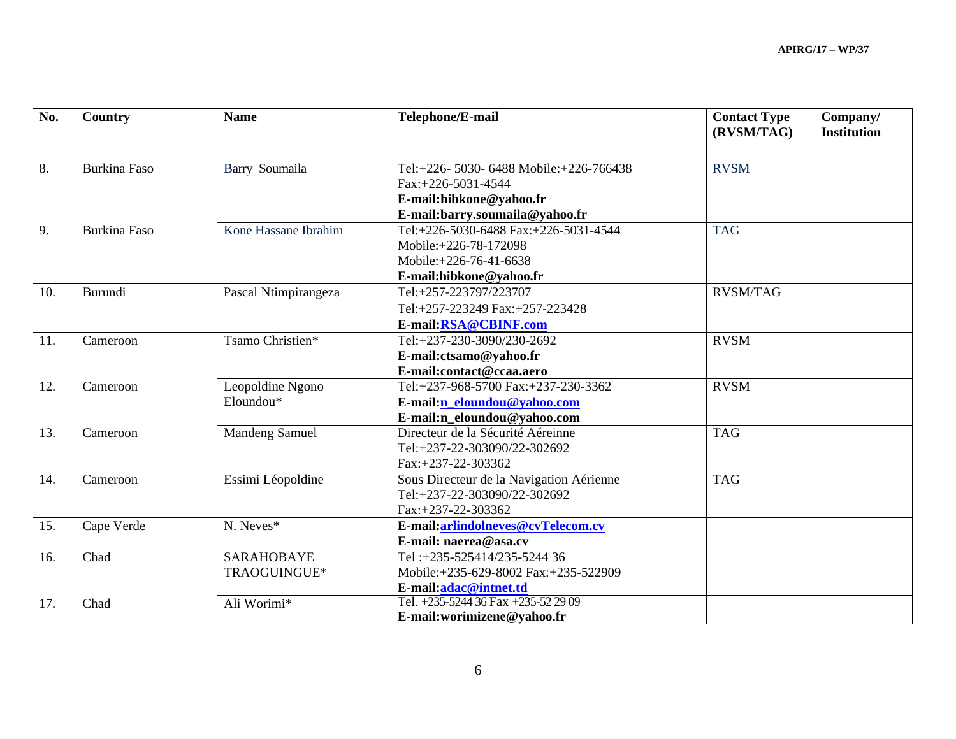| No. | Country             | <b>Name</b>           | Telephone/E-mail                         | <b>Contact Type</b><br>(RVSM/TAG) | Company/<br><b>Institution</b> |
|-----|---------------------|-----------------------|------------------------------------------|-----------------------------------|--------------------------------|
|     |                     |                       |                                          |                                   |                                |
| 8.  | <b>Burkina Faso</b> | Barry Soumaila        | Tel:+226-5030-6488 Mobile:+226-766438    | <b>RVSM</b>                       |                                |
|     |                     |                       | Fax:+226-5031-4544                       |                                   |                                |
|     |                     |                       | E-mail:hibkone@yahoo.fr                  |                                   |                                |
|     |                     |                       | E-mail:barry.soumaila@yahoo.fr           |                                   |                                |
| 9.  | <b>Burkina Faso</b> | Kone Hassane Ibrahim  | Tel:+226-5030-6488 Fax:+226-5031-4544    | <b>TAG</b>                        |                                |
|     |                     |                       | Mobile:+226-78-172098                    |                                   |                                |
|     |                     |                       | Mobile: +226-76-41-6638                  |                                   |                                |
|     |                     |                       | E-mail:hibkone@yahoo.fr                  |                                   |                                |
| 10. | Burundi             | Pascal Ntimpirangeza  | Tel:+257-223797/223707                   | <b>RVSM/TAG</b>                   |                                |
|     |                     |                       | Tel:+257-223249 Fax:+257-223428          |                                   |                                |
|     |                     |                       | E-mail:RSA@CBINF.com                     |                                   |                                |
| 11. | Cameroon            | Tsamo Christien*      | Tel:+237-230-3090/230-2692               | <b>RVSM</b>                       |                                |
|     |                     |                       | E-mail:ctsamo@yahoo.fr                   |                                   |                                |
|     |                     |                       | E-mail:contact@ccaa.aero                 |                                   |                                |
| 12. | Cameroon            | Leopoldine Ngono      | Tel:+237-968-5700 Fax:+237-230-3362      | <b>RVSM</b>                       |                                |
|     |                     | Eloundou*             | E-mail:n eloundou@yahoo.com              |                                   |                                |
|     |                     |                       | E-mail:n_eloundou@yahoo.com              |                                   |                                |
| 13. | Cameroon            | <b>Mandeng Samuel</b> | Directeur de la Sécurité Aéreinne        | <b>TAG</b>                        |                                |
|     |                     |                       | Tel:+237-22-303090/22-302692             |                                   |                                |
|     |                     |                       | Fax:+237-22-303362                       |                                   |                                |
| 14. | Cameroon            | Essimi Léopoldine     | Sous Directeur de la Navigation Aérienne | <b>TAG</b>                        |                                |
|     |                     |                       | Tel:+237-22-303090/22-302692             |                                   |                                |
|     |                     |                       | Fax:+237-22-303362                       |                                   |                                |
| 15. | Cape Verde          | N. Neves*             | E-mail:arlindolneves@cvTelecom.cv        |                                   |                                |
|     |                     |                       | E-mail: naerea@asa.cv                    |                                   |                                |
| 16. | Chad                | <b>SARAHOBAYE</b>     | Tel:+235-525414/235-5244 36              |                                   |                                |
|     |                     | TRAOGUINGUE*          | Mobile:+235-629-8002 Fax:+235-522909     |                                   |                                |
|     |                     |                       | E-mail:adac@intnet.td                    |                                   |                                |
| 17. | Chad                | Ali Worimi*           | Tel. +235-5244 36 Fax +235-52 29 09      |                                   |                                |
|     |                     |                       | E-mail:worimizene@yahoo.fr               |                                   |                                |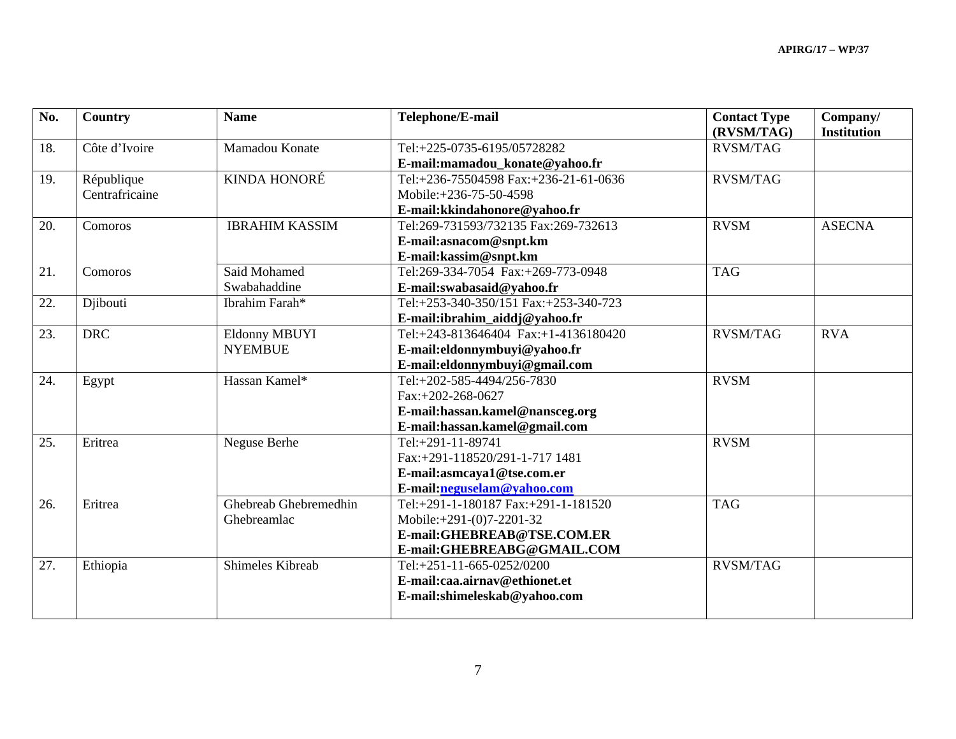| No. | Country        | <b>Name</b>           | Telephone/E-mail                      | <b>Contact Type</b><br>(RVSM/TAG) | Company/<br><b>Institution</b> |
|-----|----------------|-----------------------|---------------------------------------|-----------------------------------|--------------------------------|
| 18. | Côte d'Ivoire  | Mamadou Konate        | Tel:+225-0735-6195/05728282           | <b>RVSM/TAG</b>                   |                                |
|     |                |                       | E-mail:mamadou_konate@yahoo.fr        |                                   |                                |
| 19. | République     | KINDA HONORÉ          | Tel:+236-75504598 Fax:+236-21-61-0636 | <b>RVSM/TAG</b>                   |                                |
|     | Centrafricaine |                       | Mobile:+236-75-50-4598                |                                   |                                |
|     |                |                       | E-mail:kkindahonore@yahoo.fr          |                                   |                                |
| 20. | Comoros        | <b>IBRAHIM KASSIM</b> | Tel:269-731593/732135 Fax:269-732613  | <b>RVSM</b>                       | <b>ASECNA</b>                  |
|     |                |                       | E-mail:asnacom@snpt.km                |                                   |                                |
|     |                |                       | E-mail:kassim@snpt.km                 |                                   |                                |
| 21. | Comoros        | Said Mohamed          | Tel:269-334-7054 Fax:+269-773-0948    | <b>TAG</b>                        |                                |
|     |                | Swabahaddine          | E-mail:swabasaid@yahoo.fr             |                                   |                                |
| 22. | Djibouti       | Ibrahim Farah*        | Tel:+253-340-350/151 Fax:+253-340-723 |                                   |                                |
|     |                |                       | E-mail:ibrahim aiddj@yahoo.fr         |                                   |                                |
| 23. | <b>DRC</b>     | Eldonny MBUYI         | Tel:+243-813646404 Fax:+1-4136180420  | <b>RVSM/TAG</b>                   | <b>RVA</b>                     |
|     |                | <b>NYEMBUE</b>        | E-mail:eldonnymbuyi@yahoo.fr          |                                   |                                |
|     |                |                       | E-mail:eldonnymbuyi@gmail.com         |                                   |                                |
| 24. | Egypt          | Hassan Kamel*         | Tel:+202-585-4494/256-7830            | <b>RVSM</b>                       |                                |
|     |                |                       | Fax:+202-268-0627                     |                                   |                                |
|     |                |                       | E-mail:hassan.kamel@nansceg.org       |                                   |                                |
|     |                |                       | E-mail:hassan.kamel@gmail.com         |                                   |                                |
| 25. | Eritrea        | Neguse Berhe          | Tel:+291-11-89741                     | <b>RVSM</b>                       |                                |
|     |                |                       | Fax:+291-118520/291-1-717 1481        |                                   |                                |
|     |                |                       | E-mail:asmcaya1@tse.com.er            |                                   |                                |
|     |                |                       | E-mail:neguselam@yahoo.com            |                                   |                                |
| 26. | Eritrea        | Ghebreab Ghebremedhin | Tel:+291-1-180187 Fax:+291-1-181520   | <b>TAG</b>                        |                                |
|     |                | Ghebreamlac           | Mobile: $+291-(0)7-2201-32$           |                                   |                                |
|     |                |                       | E-mail:GHEBREAB@TSE.COM.ER            |                                   |                                |
|     |                |                       | E-mail:GHEBREABG@GMAIL.COM            |                                   |                                |
| 27. | Ethiopia       | Shimeles Kibreab      | Tel:+251-11-665-0252/0200             | <b>RVSM/TAG</b>                   |                                |
|     |                |                       | E-mail:caa.airnav@ethionet.et         |                                   |                                |
|     |                |                       | E-mail:shimeleskab@yahoo.com          |                                   |                                |
|     |                |                       |                                       |                                   |                                |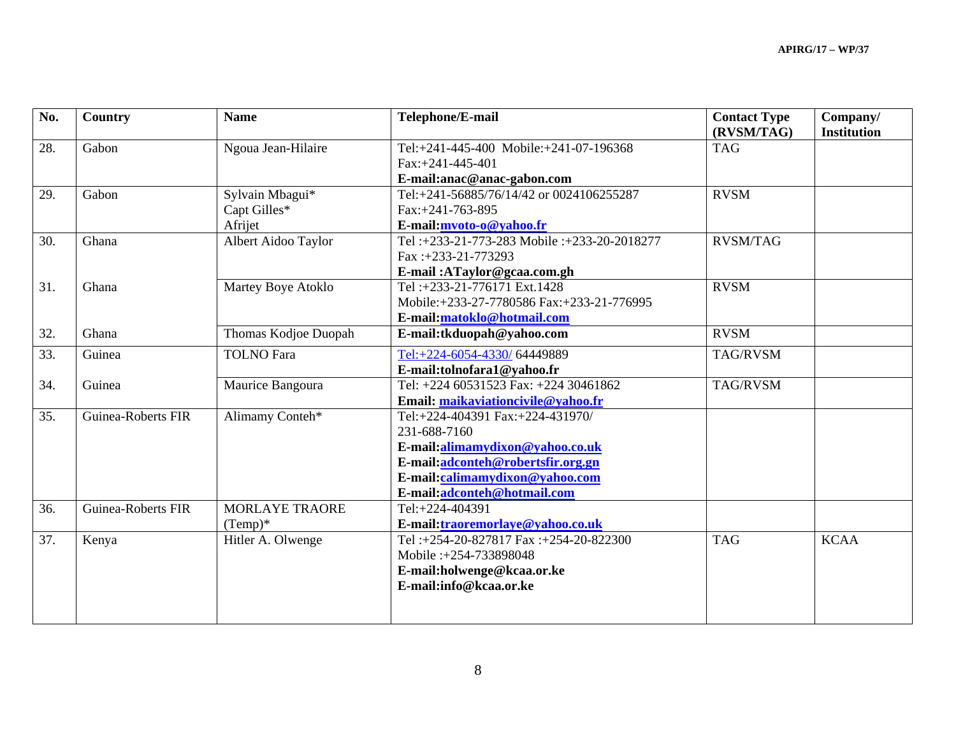| No. | Country                   | <b>Name</b>           | Telephone/E-mail                           | <b>Contact Type</b><br>(RVSM/TAG) | Company/<br><b>Institution</b> |
|-----|---------------------------|-----------------------|--------------------------------------------|-----------------------------------|--------------------------------|
| 28. | Gabon                     | Ngoua Jean-Hilaire    | Tel:+241-445-400 Mobile:+241-07-196368     | <b>TAG</b>                        |                                |
|     |                           |                       | $Fax: +241-445-401$                        |                                   |                                |
|     |                           |                       | E-mail:anac@anac-gabon.com                 |                                   |                                |
| 29. | Gabon                     | Sylvain Mbagui*       | Tel:+241-56885/76/14/42 or 0024106255287   | <b>RVSM</b>                       |                                |
|     |                           | Capt Gilles*          | Fax:+241-763-895                           |                                   |                                |
|     |                           | Afrijet               | E-mail:mvoto-o@yahoo.fr                    |                                   |                                |
| 30. | Ghana                     | Albert Aidoo Taylor   | Tel:+233-21-773-283 Mobile:+233-20-2018277 | <b>RVSM/TAG</b>                   |                                |
|     |                           |                       | Fax:+233-21-773293                         |                                   |                                |
|     |                           |                       | E-mail: ATaylor@gcaa.com.gh                |                                   |                                |
| 31. | Ghana                     | Martey Boye Atoklo    | Tel: +233-21-776171 Ext.1428               | <b>RVSM</b>                       |                                |
|     |                           |                       | Mobile:+233-27-7780586 Fax:+233-21-776995  |                                   |                                |
|     |                           |                       | E-mail:matoklo@hotmail.com                 |                                   |                                |
| 32. | Ghana                     | Thomas Kodjoe Duopah  | E-mail:tkduopah@yahoo.com                  | <b>RVSM</b>                       |                                |
| 33. | Guinea                    | <b>TOLNO</b> Fara     | Tel:+224-6054-4330/64449889                | TAG/RVSM                          |                                |
|     |                           |                       | E-mail:tolnofara1@yahoo.fr                 |                                   |                                |
| 34. | Guinea                    | Maurice Bangoura      | Tel: +224 60531523 Fax: +224 30461862      | TAG/RVSM                          |                                |
|     |                           |                       | Email: maikaviationcivile@yahoo.fr         |                                   |                                |
| 35. | <b>Guinea-Roberts FIR</b> | Alimamy Conteh*       | Tel:+224-404391 Fax:+224-431970/           |                                   |                                |
|     |                           |                       | 231-688-7160                               |                                   |                                |
|     |                           |                       | E-mail:alimamydixon@yahoo.co.uk            |                                   |                                |
|     |                           |                       | E-mail:adconteh@robertsfir.org.gn          |                                   |                                |
|     |                           |                       | E-mail:calimamydixon@yahoo.com             |                                   |                                |
|     |                           |                       | E-mail:adconteh@hotmail.com                |                                   |                                |
| 36. | <b>Guinea-Roberts FIR</b> | <b>MORLAYE TRAORE</b> | Tel:+224-404391                            |                                   |                                |
|     |                           | $(Temp)*$             | E-mail:traoremorlaye@yahoo.co.uk           |                                   |                                |
| 37. | Kenya                     | Hitler A. Olwenge     | Tel:+254-20-827817 Fax:+254-20-822300      | <b>TAG</b>                        | <b>KCAA</b>                    |
|     |                           |                       | Mobile: +254-733898048                     |                                   |                                |
|     |                           |                       | E-mail:holwenge@kcaa.or.ke                 |                                   |                                |
|     |                           |                       | E-mail:info@kcaa.or.ke                     |                                   |                                |
|     |                           |                       |                                            |                                   |                                |
|     |                           |                       |                                            |                                   |                                |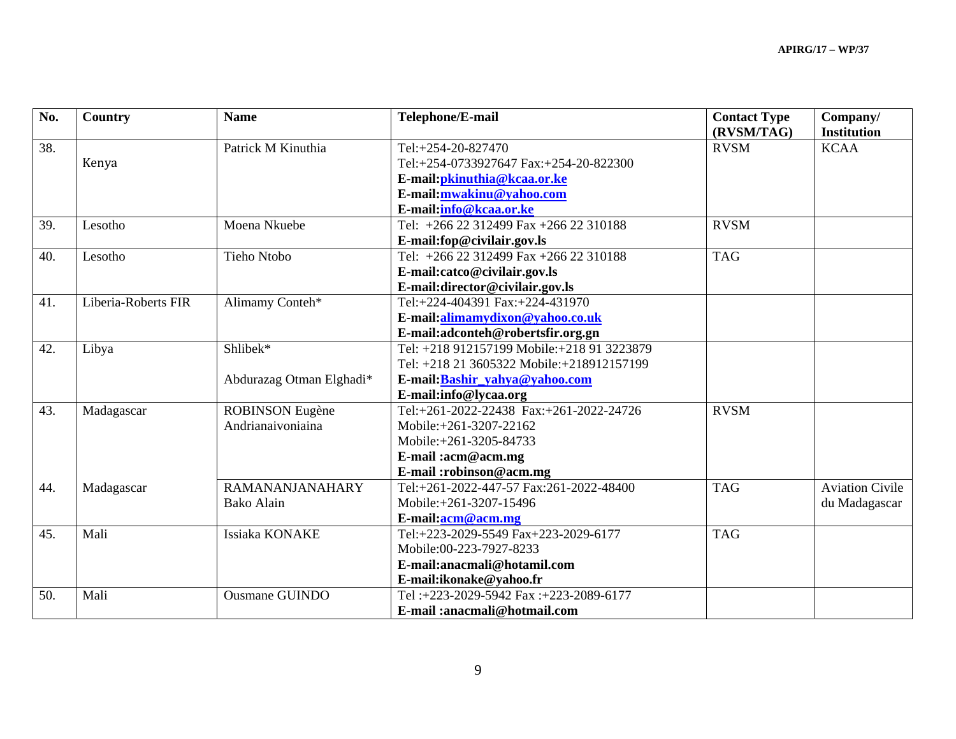| No. | <b>Country</b>      | <b>Name</b>              | Telephone/E-mail                            | <b>Contact Type</b><br>(RVSM/TAG) | Company/<br><b>Institution</b> |
|-----|---------------------|--------------------------|---------------------------------------------|-----------------------------------|--------------------------------|
| 38. |                     | Patrick M Kinuthia       | Tel:+254-20-827470                          | <b>RVSM</b>                       | <b>KCAA</b>                    |
|     | Kenya               |                          | Tel:+254-0733927647 Fax:+254-20-822300      |                                   |                                |
|     |                     |                          | E-mail: pkinuthia@kcaa.or.ke                |                                   |                                |
|     |                     |                          | E-mail: mwakinu@vahoo.com                   |                                   |                                |
|     |                     |                          | E-mail:info@kcaa.or.ke                      |                                   |                                |
| 39. | Lesotho             | Moena Nkuebe             | Tel: $+26622312499$ Fax $+26622310188$      | <b>RVSM</b>                       |                                |
|     |                     |                          | E-mail:fop@civilair.gov.ls                  |                                   |                                |
| 40. | Lesotho             | Tieho Ntobo              | Tel: +266 22 312499 Fax +266 22 310188      | <b>TAG</b>                        |                                |
|     |                     |                          | E-mail:catco@civilair.gov.ls                |                                   |                                |
|     |                     |                          | E-mail:director@civilair.gov.ls             |                                   |                                |
| 41. | Liberia-Roberts FIR | Alimamy Conteh*          | Tel:+224-404391 Fax:+224-431970             |                                   |                                |
|     |                     |                          | E-mail:alimamydixon@yahoo.co.uk             |                                   |                                |
|     |                     |                          | E-mail:adconteh@robertsfir.org.gn           |                                   |                                |
| 42. | Libya               | Shlibek*                 | Tel: +218 912157199 Mobile: +218 91 3223879 |                                   |                                |
|     |                     |                          | Tel: +218 21 3605322 Mobile:+218912157199   |                                   |                                |
|     |                     | Abdurazag Otman Elghadi* | E-mail: Bashir yahya@yahoo.com              |                                   |                                |
|     |                     |                          | E-mail:info@lycaa.org                       |                                   |                                |
| 43. | Madagascar          | <b>ROBINSON</b> Eugène   | Tel:+261-2022-22438 Fax:+261-2022-24726     | <b>RVSM</b>                       |                                |
|     |                     | Andrianaivoniaina        | Mobile:+261-3207-22162                      |                                   |                                |
|     |                     |                          | Mobile:+261-3205-84733                      |                                   |                                |
|     |                     |                          | E-mail:acm@acm.mg                           |                                   |                                |
|     |                     |                          | E-mail:robinson@acm.mg                      |                                   |                                |
| 44. | Madagascar          | <b>RAMANANJANAHARY</b>   | Tel:+261-2022-447-57 Fax:261-2022-48400     | <b>TAG</b>                        | <b>Aviation Civile</b>         |
|     |                     | <b>Bako Alain</b>        | Mobile:+261-3207-15496                      |                                   | du Madagascar                  |
|     |                     |                          | E-mail:acm@acm.mg                           |                                   |                                |
| 45. | Mali                | Issiaka KONAKE           | Tel:+223-2029-5549 Fax+223-2029-6177        | <b>TAG</b>                        |                                |
|     |                     |                          | Mobile:00-223-7927-8233                     |                                   |                                |
|     |                     |                          | E-mail:anacmali@hotamil.com                 |                                   |                                |
|     |                     |                          | E-mail: ikonake@yahoo.fr                    |                                   |                                |
| 50. | Mali                | <b>Ousmane GUINDO</b>    | Tel:+223-2029-5942 Fax:+223-2089-6177       |                                   |                                |
|     |                     |                          | E-mail: anacmali@hotmail.com                |                                   |                                |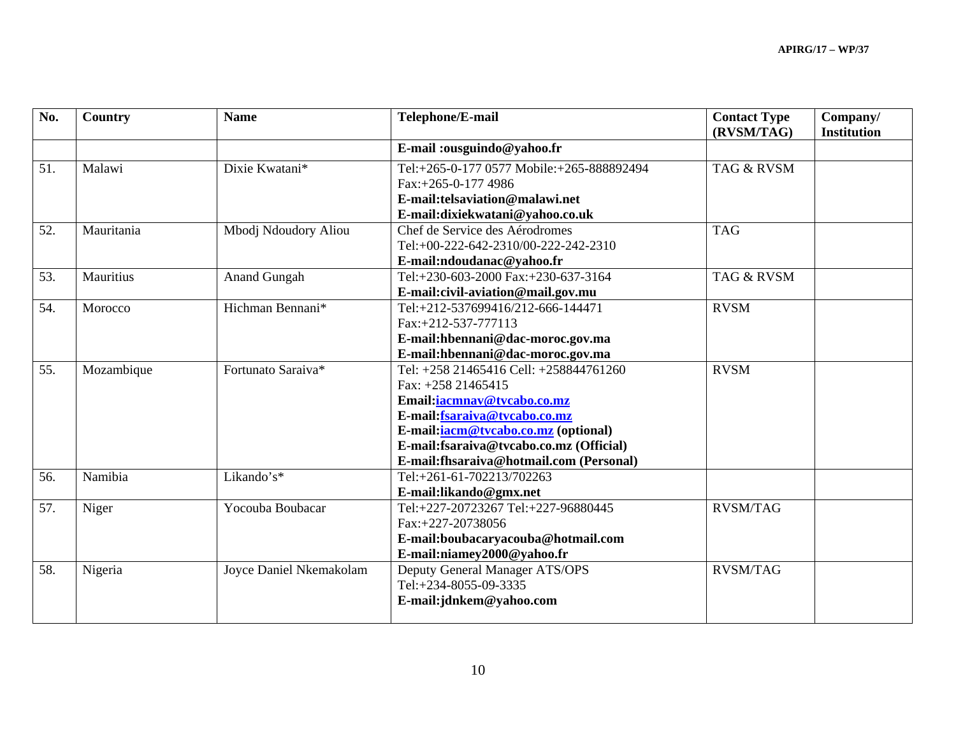| No. | Country    | <b>Name</b>             | Telephone/E-mail                          | <b>Contact Type</b><br>(RVSM/TAG) | Company/<br><b>Institution</b> |
|-----|------------|-------------------------|-------------------------------------------|-----------------------------------|--------------------------------|
|     |            |                         | E-mail:ousguindo@yahoo.fr                 |                                   |                                |
| 51. | Malawi     | Dixie Kwatani*          | Tel:+265-0-177 0577 Mobile:+265-888892494 | <b>TAG &amp; RVSM</b>             |                                |
|     |            |                         | $Fax: +265-0-1774986$                     |                                   |                                |
|     |            |                         | E-mail: telsaviation@malawi.net           |                                   |                                |
|     |            |                         | E-mail:dixiekwatani@yahoo.co.uk           |                                   |                                |
| 52. | Mauritania | Mbodj Ndoudory Aliou    | Chef de Service des Aérodromes            | <b>TAG</b>                        |                                |
|     |            |                         | Tel:+00-222-642-2310/00-222-242-2310      |                                   |                                |
|     |            |                         | E-mail:ndoudanac@yahoo.fr                 |                                   |                                |
| 53. | Mauritius  | <b>Anand Gungah</b>     | Tel:+230-603-2000 Fax:+230-637-3164       | <b>TAG &amp; RVSM</b>             |                                |
|     |            |                         | E-mail:civil-aviation@mail.gov.mu         |                                   |                                |
| 54. | Morocco    | Hichman Bennani*        | Tel:+212-537699416/212-666-144471         | <b>RVSM</b>                       |                                |
|     |            |                         | Fax:+212-537-777113                       |                                   |                                |
|     |            |                         | E-mail:hbennani@dac-moroc.gov.ma          |                                   |                                |
|     |            |                         | E-mail:hbennani@dac-moroc.gov.ma          |                                   |                                |
| 55. | Mozambique | Fortunato Saraiva*      | Tel: +258 21465416 Cell: +258844761260    | <b>RVSM</b>                       |                                |
|     |            |                         | Fax: $+258$ 21465415                      |                                   |                                |
|     |            |                         | Email: iacmnav@tvcabo.co.mz               |                                   |                                |
|     |            |                         | E-mail: fsaraiva@tvcabo.co.mz             |                                   |                                |
|     |            |                         | E-mail: iacm@tvcabo.co.mz (optional)      |                                   |                                |
|     |            |                         | E-mail:fsaraiva@tvcabo.co.mz (Official)   |                                   |                                |
|     |            |                         | E-mail:fhsaraiva@hotmail.com (Personal)   |                                   |                                |
| 56. | Namibia    | Likando's*              | Tel:+261-61-702213/702263                 |                                   |                                |
|     |            |                         | E-mail:likando@gmx.net                    |                                   |                                |
| 57. | Niger      | Yocouba Boubacar        | Tel:+227-20723267 Tel:+227-96880445       | <b>RVSM/TAG</b>                   |                                |
|     |            |                         | Fax:+227-20738056                         |                                   |                                |
|     |            |                         | E-mail:boubacaryacouba@hotmail.com        |                                   |                                |
|     |            |                         | E-mail:niamey2000@yahoo.fr                |                                   |                                |
| 58. | Nigeria    | Joyce Daniel Nkemakolam | Deputy General Manager ATS/OPS            | <b>RVSM/TAG</b>                   |                                |
|     |            |                         | Tel:+234-8055-09-3335                     |                                   |                                |
|     |            |                         | E-mail:jdnkem@yahoo.com                   |                                   |                                |
|     |            |                         |                                           |                                   |                                |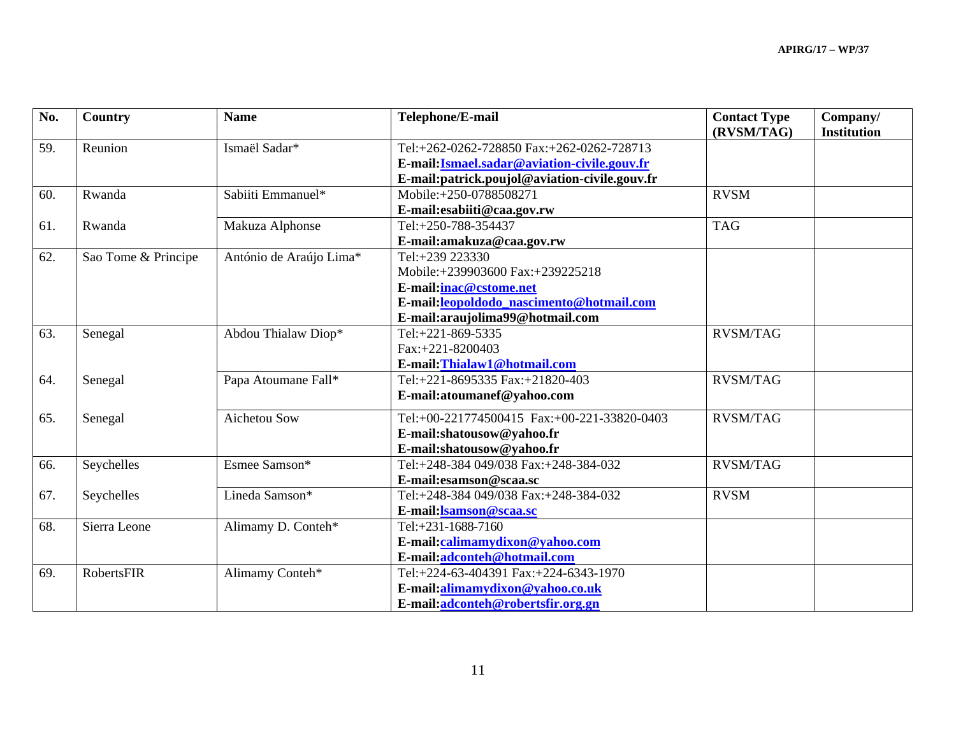| No. | <b>Country</b>      | <b>Name</b>             | Telephone/E-mail                              | <b>Contact Type</b><br>(RVSM/TAG) | Company/<br><b>Institution</b> |
|-----|---------------------|-------------------------|-----------------------------------------------|-----------------------------------|--------------------------------|
| 59. | Reunion             | Ismaël Sadar*           | Tel:+262-0262-728850 Fax:+262-0262-728713     |                                   |                                |
|     |                     |                         | E-mail: Ismael.sadar@aviation-civile.gouv.fr  |                                   |                                |
|     |                     |                         | E-mail:patrick.poujol@aviation-civile.gouv.fr |                                   |                                |
| 60. | Rwanda              | Sabiiti Emmanuel*       | Mobile:+250-0788508271                        | <b>RVSM</b>                       |                                |
|     |                     |                         | E-mail:esabiiti@caa.gov.rw                    |                                   |                                |
| 61. | Rwanda              | Makuza Alphonse         | Tel:+250-788-354437                           | <b>TAG</b>                        |                                |
|     |                     |                         | E-mail:amakuza@caa.gov.rw                     |                                   |                                |
| 62. | Sao Tome & Principe | António de Araújo Lima* | Tel:+239 223330                               |                                   |                                |
|     |                     |                         | Mobile:+239903600 Fax:+239225218              |                                   |                                |
|     |                     |                         | E-mail:inac@cstome.net                        |                                   |                                |
|     |                     |                         | E-mail:leopoldodo nascimento@hotmail.com      |                                   |                                |
|     |                     |                         | E-mail:araujolima99@hotmail.com               |                                   |                                |
| 63. | Senegal             | Abdou Thialaw Diop*     | Tel:+221-869-5335                             | <b>RVSM/TAG</b>                   |                                |
|     |                     |                         | Fax:+221-8200403                              |                                   |                                |
|     |                     |                         | E-mail:Thialaw1@hotmail.com                   |                                   |                                |
| 64. | Senegal             | Papa Atoumane Fall*     | Tel:+221-8695335 Fax:+21820-403               | <b>RVSM/TAG</b>                   |                                |
|     |                     |                         | E-mail:atoumanef@yahoo.com                    |                                   |                                |
| 65. | Senegal             | Aichetou Sow            | Tel:+00-221774500415 Fax:+00-221-33820-0403   | <b>RVSM/TAG</b>                   |                                |
|     |                     |                         | E-mail:shatousow@yahoo.fr                     |                                   |                                |
|     |                     |                         | E-mail:shatousow@yahoo.fr                     |                                   |                                |
| 66. | Seychelles          | Esmee Samson*           | Tel:+248-384 049/038 Fax:+248-384-032         | <b>RVSM/TAG</b>                   |                                |
|     |                     |                         | E-mail: esamson@scaa.sc                       |                                   |                                |
| 67. | Seychelles          | Lineda Samson*          | Tel:+248-384 049/038 Fax:+248-384-032         | <b>RVSM</b>                       |                                |
|     |                     |                         | E-mail:lsamson@scaa.sc                        |                                   |                                |
| 68. | Sierra Leone        | Alimamy D. Conteh*      | Tel:+231-1688-7160                            |                                   |                                |
|     |                     |                         | E-mail:calimamydixon@yahoo.com                |                                   |                                |
|     |                     |                         | E-mail:adconteh@hotmail.com                   |                                   |                                |
| 69. | <b>RobertsFIR</b>   | Alimamy Conteh*         | Tel:+224-63-404391 Fax:+224-6343-1970         |                                   |                                |
|     |                     |                         | E-mail:alimamydixon@yahoo.co.uk               |                                   |                                |
|     |                     |                         | E-mail:adconteh@robertsfir.org.gn             |                                   |                                |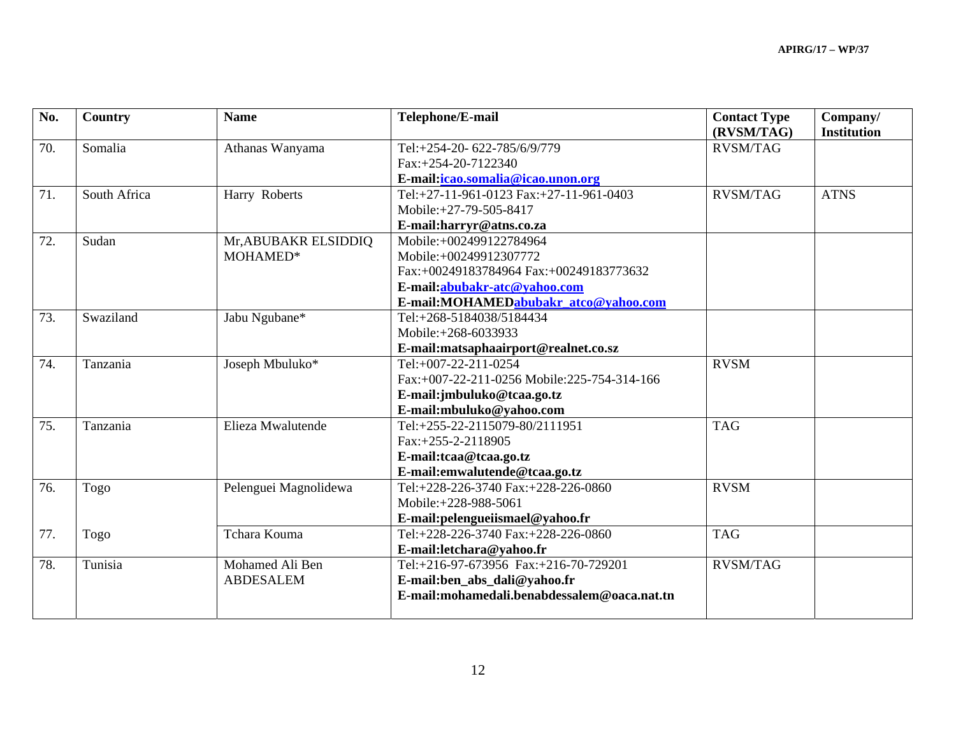| No. | Country      | <b>Name</b>           | Telephone/E-mail                            | <b>Contact Type</b><br>(RVSM/TAG) | Company/<br><b>Institution</b> |
|-----|--------------|-----------------------|---------------------------------------------|-----------------------------------|--------------------------------|
| 70. | Somalia      | Athanas Wanyama       | Tel:+254-20-622-785/6/9/779                 | <b>RVSM/TAG</b>                   |                                |
|     |              |                       | Fax:+254-20-7122340                         |                                   |                                |
|     |              |                       | E-mail: icao.somalia@icao.unon.org          |                                   |                                |
| 71. | South Africa | Harry Roberts         | Tel:+27-11-961-0123 Fax:+27-11-961-0403     | <b>RVSM/TAG</b>                   | <b>ATNS</b>                    |
|     |              |                       | Mobile: +27-79-505-8417                     |                                   |                                |
|     |              |                       | E-mail:harryr@atns.co.za                    |                                   |                                |
| 72. | Sudan        | Mr, ABUBAKR ELSIDDIQ  | Mobile:+002499122784964                     |                                   |                                |
|     |              | MOHAMED*              | Mobile:+00249912307772                      |                                   |                                |
|     |              |                       | Fax:+00249183784964 Fax:+00249183773632     |                                   |                                |
|     |              |                       | E-mail:abubakr-atc@yahoo.com                |                                   |                                |
|     |              |                       | E-mail:MOHAMEDabubakr atco@yahoo.com        |                                   |                                |
| 73. | Swaziland    | Jabu Ngubane*         | Tel:+268-5184038/5184434                    |                                   |                                |
|     |              |                       | Mobile:+268-6033933                         |                                   |                                |
|     |              |                       | E-mail:matsaphaairport@realnet.co.sz        |                                   |                                |
| 74. | Tanzania     | Joseph Mbuluko*       | Tel:+007-22-211-0254                        | <b>RVSM</b>                       |                                |
|     |              |                       | Fax:+007-22-211-0256 Mobile:225-754-314-166 |                                   |                                |
|     |              |                       | E-mail:jmbuluko@tcaa.go.tz                  |                                   |                                |
|     |              |                       | E-mail:mbuluko@yahoo.com                    |                                   |                                |
| 75. | Tanzania     | Elieza Mwalutende     | Tel:+255-22-2115079-80/2111951              | <b>TAG</b>                        |                                |
|     |              |                       | Fax:+255-2-2118905                          |                                   |                                |
|     |              |                       | E-mail:tcaa@tcaa.go.tz                      |                                   |                                |
|     |              |                       | E-mail:emwalutende@tcaa.go.tz               |                                   |                                |
| 76. | Togo         | Pelenguei Magnolidewa | Tel:+228-226-3740 Fax:+228-226-0860         | <b>RVSM</b>                       |                                |
|     |              |                       | Mobile: +228-988-5061                       |                                   |                                |
|     |              |                       | E-mail:pelengueiismael@yahoo.fr             |                                   |                                |
| 77. | Togo         | Tchara Kouma          | Tel:+228-226-3740 Fax:+228-226-0860         | <b>TAG</b>                        |                                |
|     |              |                       | E-mail:letchara@yahoo.fr                    |                                   |                                |
| 78. | Tunisia      | Mohamed Ali Ben       | Tel:+216-97-673956 Fax:+216-70-729201       | <b>RVSM/TAG</b>                   |                                |
|     |              | <b>ABDESALEM</b>      | E-mail:ben_abs_dali@yahoo.fr                |                                   |                                |
|     |              |                       | E-mail:mohamedali.benabdessalem@oaca.nat.tn |                                   |                                |
|     |              |                       |                                             |                                   |                                |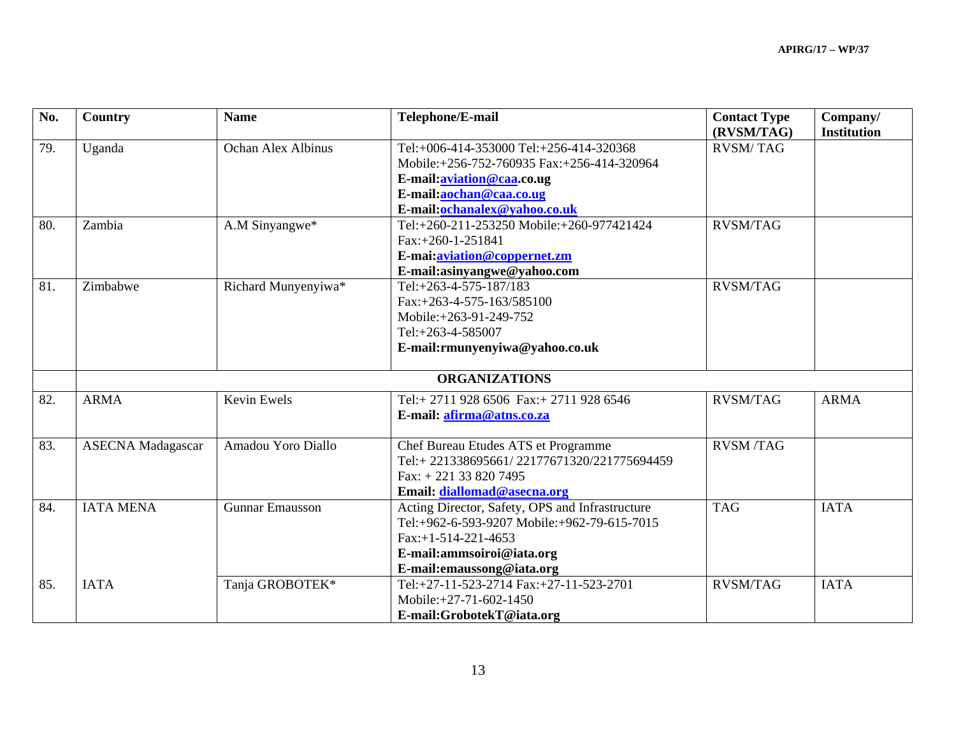| No. | Country                  | <b>Name</b>            | Telephone/E-mail                                | <b>Contact Type</b><br>(RVSM/TAG) | Company/<br><b>Institution</b> |
|-----|--------------------------|------------------------|-------------------------------------------------|-----------------------------------|--------------------------------|
| 79. | Uganda                   | Ochan Alex Albinus     | Tel:+006-414-353000 Tel:+256-414-320368         | <b>RVSM/TAG</b>                   |                                |
|     |                          |                        | Mobile:+256-752-760935 Fax:+256-414-320964      |                                   |                                |
|     |                          |                        | E-mail: <b>aviation@caa.co.ug</b>               |                                   |                                |
|     |                          |                        | E-mail:aochan@caa.co.ug                         |                                   |                                |
|     |                          |                        | E-mail:ochanalex@yahoo.co.uk                    |                                   |                                |
| 80. | Zambia                   | A.M Sinyangwe*         | Tel:+260-211-253250 Mobile:+260-977421424       | <b>RVSM/TAG</b>                   |                                |
|     |                          |                        | Fax:+260-1-251841                               |                                   |                                |
|     |                          |                        | E-mai:aviation@coppernet.zm                     |                                   |                                |
|     |                          |                        | E-mail:asinyangwe@yahoo.com                     |                                   |                                |
| 81. | Zimbabwe                 | Richard Munyenyiwa*    | Tel:+263-4-575-187/183                          | <b>RVSM/TAG</b>                   |                                |
|     |                          |                        | Fax:+263-4-575-163/585100                       |                                   |                                |
|     |                          |                        | Mobile:+263-91-249-752                          |                                   |                                |
|     |                          |                        | Tel:+263-4-585007                               |                                   |                                |
|     |                          |                        | E-mail:rmunyenyiwa@yahoo.co.uk                  |                                   |                                |
|     |                          |                        | <b>ORGANIZATIONS</b>                            |                                   |                                |
| 82. | <b>ARMA</b>              | Kevin Ewels            | Tel:+2711 928 6506 Fax:+2711 928 6546           | <b>RVSM/TAG</b>                   | <b>ARMA</b>                    |
|     |                          |                        | E-mail: afirma@atns.co.za                       |                                   |                                |
| 83. | <b>ASECNA</b> Madagascar | Amadou Yoro Diallo     | Chef Bureau Etudes ATS et Programme             | <b>RVSM/TAG</b>                   |                                |
|     |                          |                        | Tel:+221338695661/22177671320/221775694459      |                                   |                                |
|     |                          |                        | Fax: $+221$ 33 820 7495                         |                                   |                                |
|     |                          |                        | Email: diallomad@asecna.org                     |                                   |                                |
| 84. | <b>IATA MENA</b>         | <b>Gunnar Emausson</b> | Acting Director, Safety, OPS and Infrastructure | <b>TAG</b>                        | <b>IATA</b>                    |
|     |                          |                        | Tel:+962-6-593-9207 Mobile:+962-79-615-7015     |                                   |                                |
|     |                          |                        | $Fax.+1-514-221-4653$                           |                                   |                                |
|     |                          |                        | E-mail:ammsoiroi@iata.org                       |                                   |                                |
|     |                          |                        | E-mail:emaussong@iata.org                       |                                   |                                |
| 85. | <b>IATA</b>              | Tanja GROBOTEK*        | Tel:+27-11-523-2714 Fax:+27-11-523-2701         | <b>RVSM/TAG</b>                   | <b>IATA</b>                    |
|     |                          |                        | Mobile: +27-71-602-1450                         |                                   |                                |
|     |                          |                        | E-mail:GrobotekT@iata.org                       |                                   |                                |